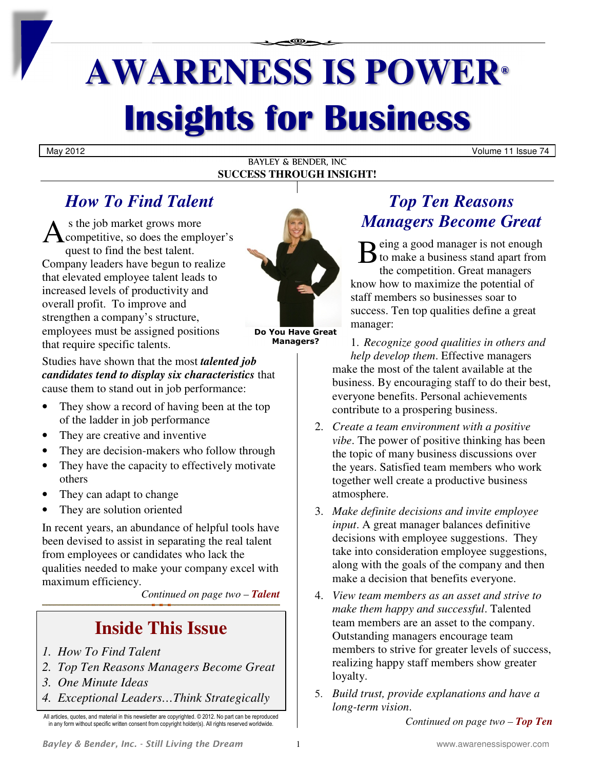# **AWARENESS IS POWER® Insights for Business**

May 2012 Volume 11 Issue 74

#### BAYLEY & BENDER, INC **SUCCESS THROUGH INSIGHT!**

## *How To Find Talent*

 s the job market grows more competitive, so does the employer's quest to find the best talent. Company leaders have begun to realize that elevated employee talent leads to increased levels of productivity and overall profit. To improve and strengthen a company's structure, employees must be assigned positions that require specific talents. A



**Do You Have Great Managers?** 

Studies have shown that the most *talented job candidates tend to display six characteristics* that cause them to stand out in job performance:

- They show a record of having been at the top of the ladder in job performance
- They are creative and inventive
- They are decision-makers who follow through
- They have the capacity to effectively motivate others
- They can adapt to change
- They are solution oriented

In recent years, an abundance of helpful tools have been devised to assist in separating the real talent from employees or candidates who lack the qualities needed to make your company excel with maximum efficiency.

*Continued on page two – Talent*

# **Inside This Issue**

- *1. How To Find Talent*
- *2. Top Ten Reasons Managers Become Great*
- *3. One Minute Ideas*
- *4. Exceptional Leaders…Think Strategically*

All articles, quotes, and material in this newsletter are copyrighted. © 2012. No part can be reproduced in any form without specific written consent from copyright holder(s). All rights reserved worldwide.

## *Top Ten Reasons Managers Become Great*

Being a good manager is not enough<br>to make a business stand apart from<br>the competition Great managers  $\bigcirc$  to make a business stand apart from the competition. Great managers know how to maximize the potential of staff members so businesses soar to success. Ten top qualities define a great manager:

1. *Recognize good qualities in others and help develop them*. Effective managers make the most of the talent available at the business. By encouraging staff to do their best, everyone benefits. Personal achievements contribute to a prospering business.

- 2. *Create a team environment with a positive vibe*. The power of positive thinking has been the topic of many business discussions over the years. Satisfied team members who work together well create a productive business atmosphere.
- 3. *Make definite decisions and invite employee input*. A great manager balances definitive decisions with employee suggestions. They take into consideration employee suggestions, along with the goals of the company and then make a decision that benefits everyone.
- 4. *View team members as an asset and strive to make them happy and successful*. Talented team members are an asset to the company. Outstanding managers encourage team members to strive for greater levels of success, realizing happy staff members show greater loyalty.
- 5. *Build trust, provide explanations and have a long-term vision*.

*Continued on page two – Top Ten*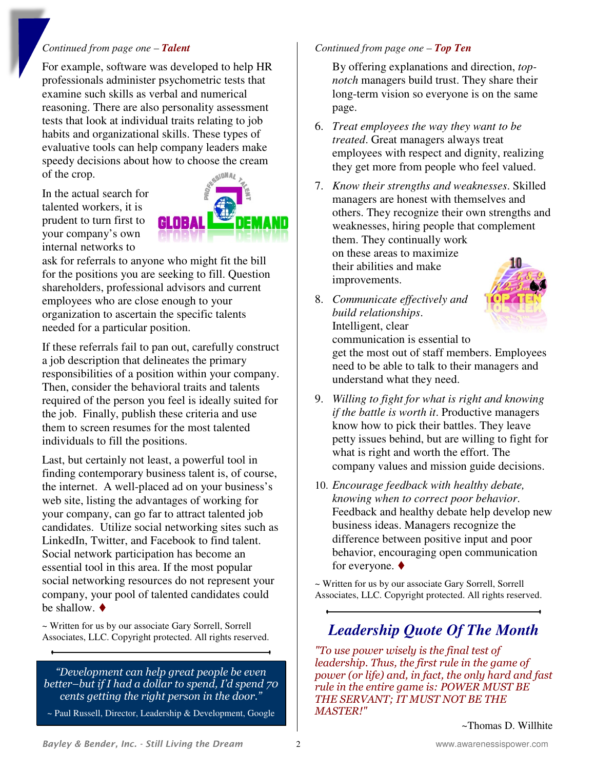#### *Continued from page one – Talent*

For example, software was developed to help HR professionals administer psychometric tests that examine such skills as verbal and numerical reasoning. There are also personality assessment tests that look at individual traits relating to job habits and organizational skills. These types of evaluative tools can help company leaders make speedy decisions about how to choose the cream of the crop.

In the actual search for talented workers, it is prudent to turn first to your company's own internal networks to



ask for referrals to anyone who might fit the bill for the positions you are seeking to fill. Question shareholders, professional advisors and current employees who are close enough to your organization to ascertain the specific talents needed for a particular position.

If these referrals fail to pan out, carefully construct a job description that delineates the primary responsibilities of a position within your company. Then, consider the behavioral traits and talents required of the person you feel is ideally suited for the job. Finally, publish these criteria and use them to screen resumes for the most talented individuals to fill the positions.

Last, but certainly not least, a powerful tool in finding contemporary business talent is, of course, the internet. A well-placed ad on your business's web site, listing the advantages of working for your company, can go far to attract talented job candidates. Utilize social networking sites such as LinkedIn, Twitter, and Facebook to find talent. Social network participation has become an essential tool in this area. If the most popular social networking resources do not represent your company, your pool of talented candidates could be shallow.  $\blacklozenge$ 

~ Written for us by our associate Gary Sorrell, Sorrell Associates, LLC. Copyright protected. All rights reserved.

*"Development can help great people be even better–but if I had a dollar to spend, I'd spend 70 cents getting the right person in the door."* 

~ Paul Russell, Director, Leadership & Development, Google

#### *Continued from page one – Top Ten*

By offering explanations and direction, *topnotch* managers build trust. They share their long-term vision so everyone is on the same page.

- 6. *Treat employees the way they want to be treated*. Great managers always treat employees with respect and dignity, realizing they get more from people who feel valued.
- 7. *Know their strengths and weaknesses*. Skilled managers are honest with themselves and others. They recognize their own strengths and weaknesses, hiring people that complement them. They continually work on these areas to maximize their abilities and make improvements.
- 8. *Communicate effectively and build relationships*. Intelligent, clear



communication is essential to get the most out of staff members. Employees need to be able to talk to their managers and understand what they need.

- 9. *Willing to fight for what is right and knowing if the battle is worth it*. Productive managers know how to pick their battles. They leave petty issues behind, but are willing to fight for what is right and worth the effort. The company values and mission guide decisions.
- 10. *Encourage feedback with healthy debate, knowing when to correct poor behavior*. Feedback and healthy debate help develop new business ideas. Managers recognize the difference between positive input and poor behavior, encouraging open communication for everyone.  $\blacklozenge$

~ Written for us by our associate Gary Sorrell, Sorrell Associates, LLC. Copyright protected. All rights reserved.

## *Leadership Quote Of The Month*

*"To use power wisely is the final test of leadership. Thus, the first rule in the game of power (or life) and, in fact, the only hard and fast rule in the entire game is: POWER MUST BE THE SERVANT; IT MUST NOT BE THE MASTER!"*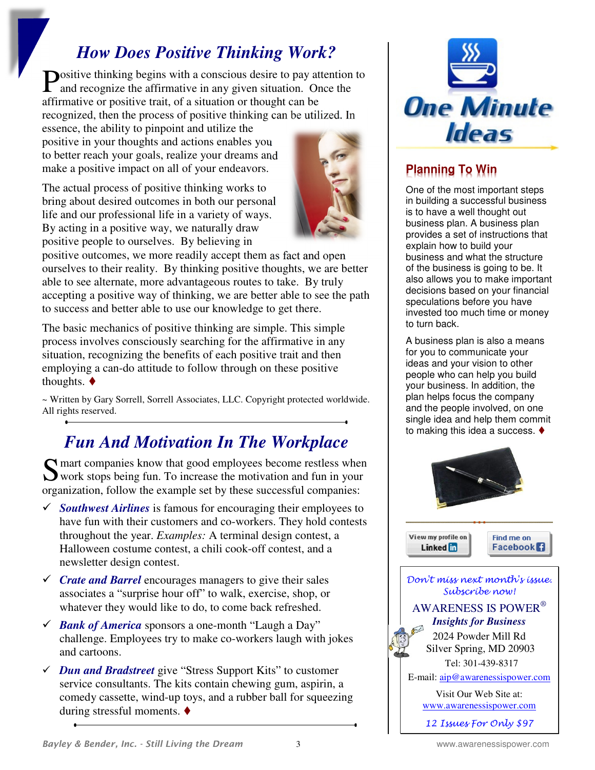## *How Does Positive Thinking Work?*

ositive thinking begins with a conscious desire to pay attention to **P**ositive thinking begins with a conscious desire to pay attention and recognize the affirmative in any given situation. Once the affirmative or positive trait, of a situation or thought can be recognized, then the process of positive thinking can be utilized. In

essence, the ability to pinpoint and utilize the positive in your thoughts and actions enables you to better reach your goals, realize your dreams and make a positive impact on all of your endeavors.

The actual process of positive thinking works to bring about desired outcomes in both our personal life and our professional life in a variety of ways. By acting in a positive way, we naturally draw positive people to ourselves. By believing in



positive outcomes, we more readily accept them as fact and open ourselves to their reality. By thinking positive thoughts, we are better able to see alternate, more advantageous routes to take. By truly accepting a positive way of thinking, we are better able to see the path to success and better able to use our knowledge to get there.

The basic mechanics of positive thinking are simple. This simple process involves consciously searching for the affirmative in any situation, recognizing the benefits of each positive trait and then employing a can-do attitude to follow through on these positive thoughts.  $\blacklozenge$ 

~ Written by Gary Sorrell, Sorrell Associates, LLC. Copyright protected worldwide. All rights reserved.

# *Fun And Motivation In The Workplace*

S mart companies know that good employees become restless when<br>
S work stops being fun. To increase the motivation and fun in your work stops being fun. To increase the motivation and fun in your organization, follow the example set by these successful companies:

- *Southwest Airlines* is famous for encouraging their employees to have fun with their customers and co-workers. They hold contests throughout the year. *Examples:* A terminal design contest, a Halloween costume contest, a chili cook-off contest, and a newsletter design contest.
- *Crate and Barrel* encourages managers to give their sales associates a "surprise hour off" to walk, exercise, shop, or whatever they would like to do, to come back refreshed.
- *Bank of America* sponsors a one-month "Laugh a Day" challenge. Employees try to make co-workers laugh with jokes and cartoons.
- *Dun and Bradstreet* give "Stress Support Kits" to customer service consultants. The kits contain chewing gum, aspirin, a comedy cassette, wind-up toys, and a rubber ball for squeezing during stressful moments.



## **Planning To Win**

One of the most important steps in building a successful business is to have a well thought out business plan. A business plan provides a set of instructions that explain how to build your business and what the structure of the business is going to be. It also allows you to make important decisions based on your financial speculations before you have invested too much time or money to turn back.

A business plan is also a means for you to communicate your ideas and your vision to other people who can help you build your business. In addition, the plan helps focus the company and the people involved, on one single idea and help them commit to making this idea a success.



View my profile on Linked **in** 

Find me on **Facebook** 

Don't miss next month's issue. Subscribe now! AWARENESS IS POWER®  *Insights for Business*  2024 Powder Mill Rd Silver Spring, MD 20903 Tel: 301-439-8317 E-mail: aip@awarenessispower.com

Visit Our Web Site at: www.awarenessispower.com

12 Issues For Only \$97